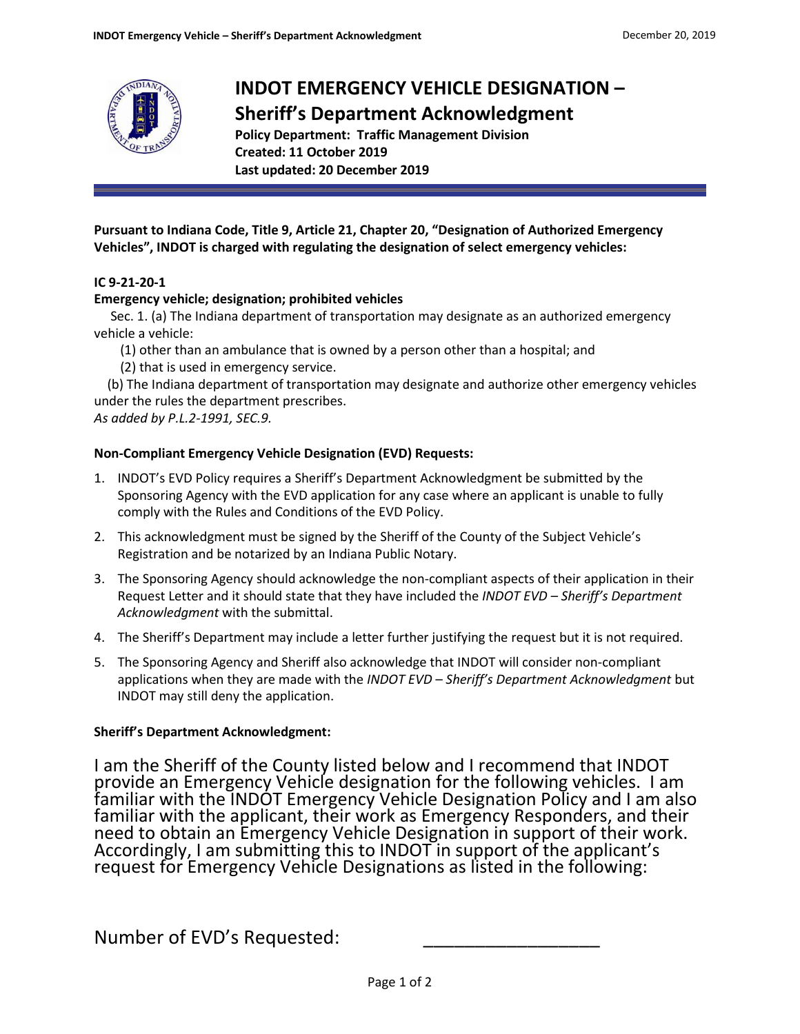

# **INDOT EMERGENCY VEHICLE DESIGNATION – Sheriff's Department Acknowledgment**

**Policy Department: Traffic Management Division Created: 11 October 2019 Last updated: 20 December 2019**

**Pursuant to Indiana Code, Title 9, Article 21, Chapter 20, "Designation of Authorized Emergency Vehicles", INDOT is charged with regulating the designation of select emergency vehicles:**

## **IC 9-21-20-1**

### **Emergency vehicle; designation; prohibited vehicles**

Sec. 1. (a) The Indiana department of transportation may designate as an authorized emergency vehicle a vehicle:

- (1) other than an ambulance that is owned by a person other than a hospital; and
- (2) that is used in emergency service.

 (b) The Indiana department of transportation may designate and authorize other emergency vehicles under the rules the department prescribes.

*As added by P.L.2-1991, SEC.9.*

### **Non-Compliant Emergency Vehicle Designation (EVD) Requests:**

- 1. INDOT's EVD Policy requires a Sheriff's Department Acknowledgment be submitted by the Sponsoring Agency with the EVD application for any case where an applicant is unable to fully comply with the Rules and Conditions of the EVD Policy.
- 2. This acknowledgment must be signed by the Sheriff of the County of the Subject Vehicle's Registration and be notarized by an Indiana Public Notary.
- 3. The Sponsoring Agency should acknowledge the non-compliant aspects of their application in their Request Letter and it should state that they have included the *INDOT EVD – Sheriff's Department Acknowledgment* with the submittal.
- 4. The Sheriff's Department may include a letter further justifying the request but it is not required.
- 5. The Sponsoring Agency and Sheriff also acknowledge that INDOT will consider non-compliant applications when they are made with the *INDOT EVD – Sheriff's Department Acknowledgment* but INDOT may still deny the application.

### **Sheriff's Department Acknowledgment:**

I am the Sheriff of the County listed below and I recommend that INDOT provide an Emergency Vehicle designation for the following vehicles. I am familiar with the INDOT Emergency Vehicle Designation Policy and I am also familiar with the applicant, their work as Emergency Responders, and their need to obtain an Emergency Vehicle Designation in support of their work. Accordingly, I am submitting this to INDOT in support of the applicant's request for Emergency Vehicle Designations as listed in the following:

Number of EVD's Requested: